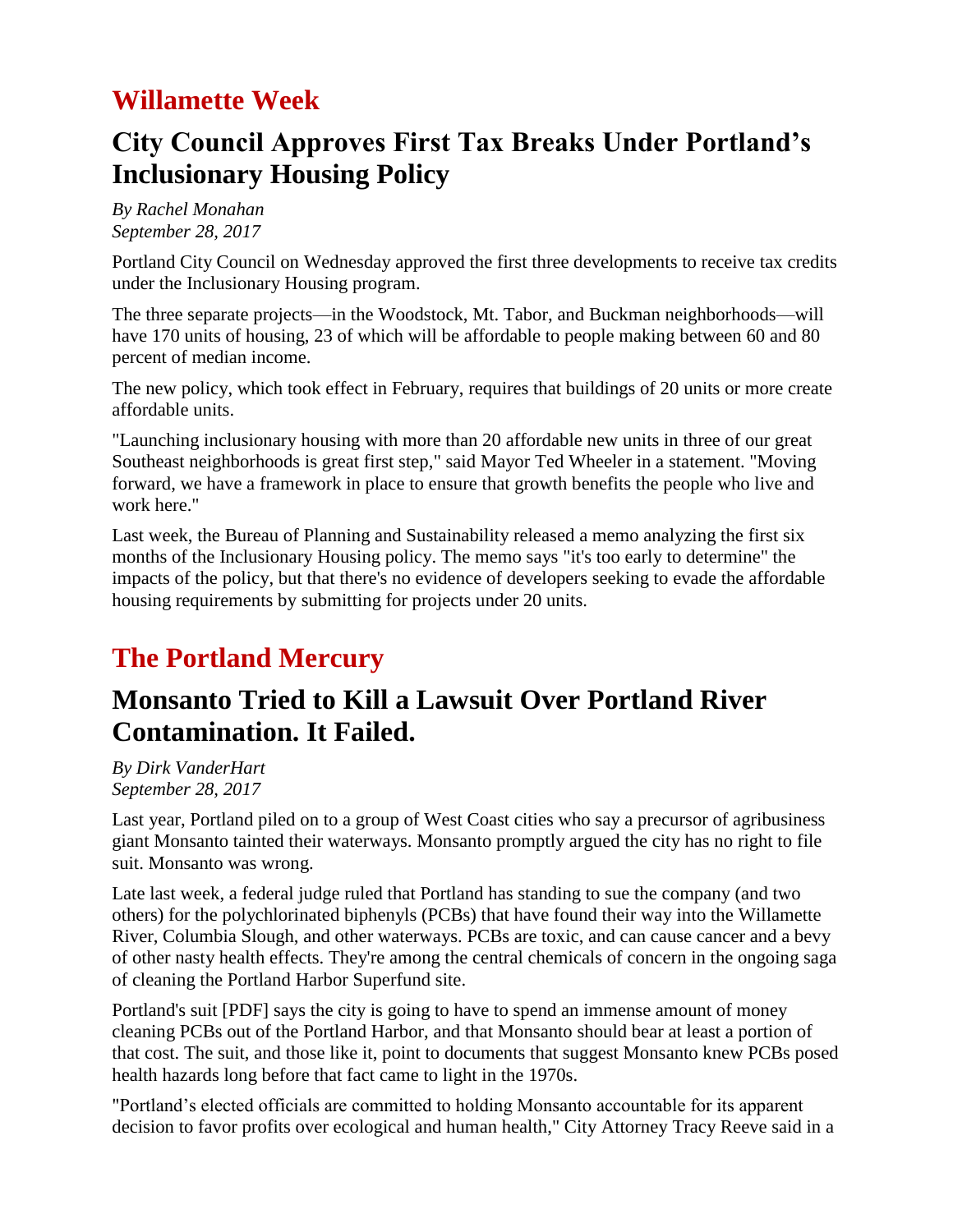## **Willamette Week**

# **City Council Approves First Tax Breaks Under Portland's Inclusionary Housing Policy**

*By Rachel Monahan September 28, 2017*

Portland City Council on Wednesday approved the first three developments to receive tax credits under the Inclusionary Housing program.

The three separate projects—in the Woodstock, Mt. Tabor, and Buckman neighborhoods—will have 170 units of housing, 23 of which will be affordable to people making between 60 and 80 percent of median income.

The new policy, which took effect in February, requires that buildings of 20 units or more create affordable units.

"Launching inclusionary housing with more than 20 affordable new units in three of our great Southeast neighborhoods is great first step," said Mayor Ted Wheeler in a statement. "Moving forward, we have a framework in place to ensure that growth benefits the people who live and work here."

Last week, the Bureau of Planning and Sustainability released a memo analyzing the first six months of the Inclusionary Housing policy. The memo says "it's too early to determine" the impacts of the policy, but that there's no evidence of developers seeking to evade the affordable housing requirements by submitting for projects under 20 units.

# **The Portland Mercury**

#### **Monsanto Tried to Kill a Lawsuit Over Portland River Contamination. It Failed.**

*By Dirk VanderHart September 28, 2017*

Last year, Portland piled on to a group of West Coast cities who say a precursor of agribusiness giant Monsanto tainted their waterways. Monsanto promptly argued the city has no right to file suit. Monsanto was wrong.

Late last week, a federal judge ruled that Portland has standing to sue the company (and two others) for the polychlorinated biphenyls (PCBs) that have found their way into the Willamette River, Columbia Slough, and other waterways. PCBs are toxic, and can cause cancer and a bevy of other nasty health effects. They're among the central chemicals of concern in the ongoing saga of cleaning the Portland Harbor Superfund site.

Portland's suit [PDF] says the city is going to have to spend an immense amount of money cleaning PCBs out of the Portland Harbor, and that Monsanto should bear at least a portion of that cost. The suit, and those like it, point to documents that suggest Monsanto knew PCBs posed health hazards long before that fact came to light in the 1970s.

"Portland's elected officials are committed to holding Monsanto accountable for its apparent decision to favor profits over ecological and human health," City Attorney Tracy Reeve said in a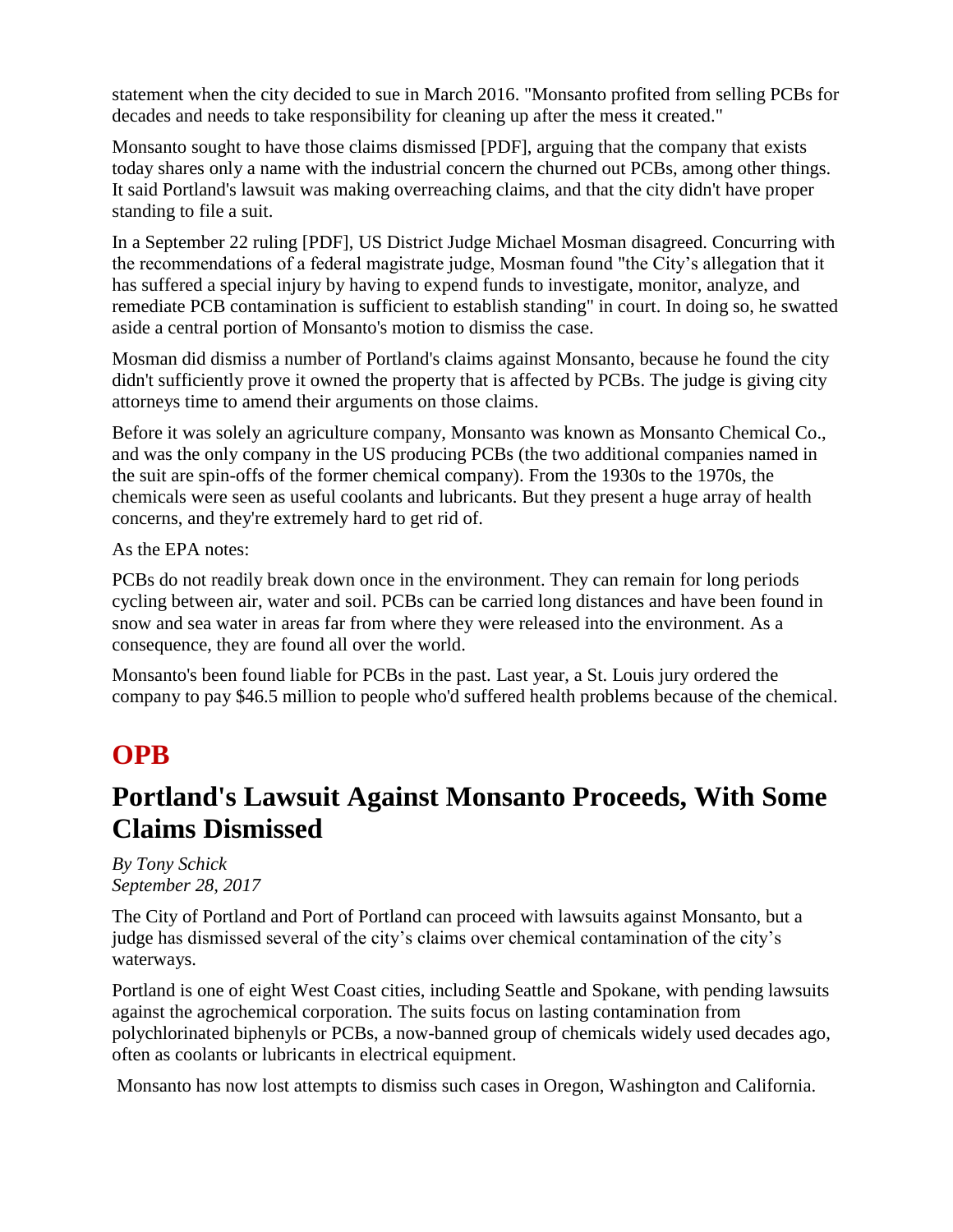statement when the city decided to sue in March 2016. "Monsanto profited from selling PCBs for decades and needs to take responsibility for cleaning up after the mess it created."

Monsanto sought to have those claims dismissed [PDF], arguing that the company that exists today shares only a name with the industrial concern the churned out PCBs, among other things. It said Portland's lawsuit was making overreaching claims, and that the city didn't have proper standing to file a suit.

In a September 22 ruling [PDF], US District Judge Michael Mosman disagreed. Concurring with the recommendations of a federal magistrate judge, Mosman found "the City's allegation that it has suffered a special injury by having to expend funds to investigate, monitor, analyze, and remediate PCB contamination is sufficient to establish standing" in court. In doing so, he swatted aside a central portion of Monsanto's motion to dismiss the case.

Mosman did dismiss a number of Portland's claims against Monsanto, because he found the city didn't sufficiently prove it owned the property that is affected by PCBs. The judge is giving city attorneys time to amend their arguments on those claims.

Before it was solely an agriculture company, Monsanto was known as Monsanto Chemical Co., and was the only company in the US producing PCBs (the two additional companies named in the suit are spin-offs of the former chemical company). From the 1930s to the 1970s, the chemicals were seen as useful coolants and lubricants. But they present a huge array of health concerns, and they're extremely hard to get rid of.

As the EPA notes:

PCBs do not readily break down once in the environment. They can remain for long periods cycling between air, water and soil. PCBs can be carried long distances and have been found in snow and sea water in areas far from where they were released into the environment. As a consequence, they are found all over the world.

Monsanto's been found liable for PCBs in the past. Last year, a St. Louis jury ordered the company to pay \$46.5 million to people who'd suffered health problems because of the chemical.

### **OPB**

#### **Portland's Lawsuit Against Monsanto Proceeds, With Some Claims Dismissed**

*By Tony Schick September 28, 2017*

The City of Portland and Port of Portland can proceed with lawsuits against Monsanto, but a judge has dismissed several of the city's claims over chemical contamination of the city's waterways.

Portland is one of eight West Coast cities, including Seattle and Spokane, with pending lawsuits against the agrochemical corporation. The suits focus on lasting contamination from polychlorinated biphenyls or PCBs, a now-banned group of chemicals widely used decades ago, often as coolants or lubricants in electrical equipment.

Monsanto has now lost attempts to dismiss such cases in Oregon, Washington and California.